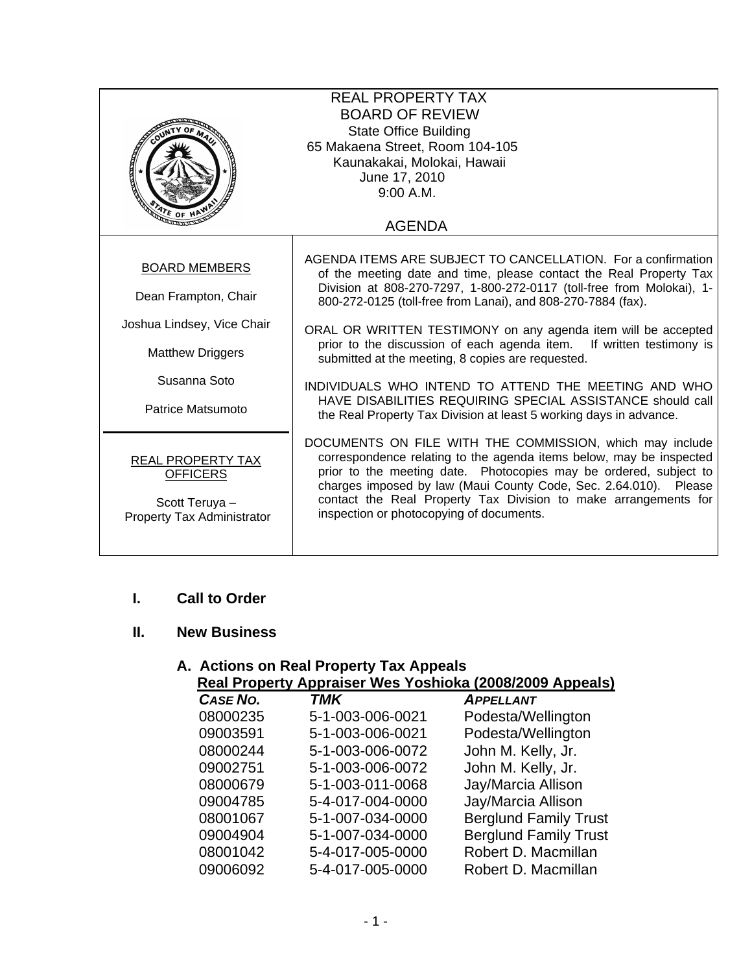| <b>REAL PROPERTY TAX</b><br><b>BOARD OF REVIEW</b><br><b>State Office Building</b><br>65 Makaena Street, Room 104-105<br>Kaunakakai, Molokai, Hawaii<br>متكلفته<br>June 17, 2010<br>9:00 A.M. |                                                                                                                                                                                                                                                                                                                                                                                                                                                                                                                                                                                                                                                                       |  |  |  |
|-----------------------------------------------------------------------------------------------------------------------------------------------------------------------------------------------|-----------------------------------------------------------------------------------------------------------------------------------------------------------------------------------------------------------------------------------------------------------------------------------------------------------------------------------------------------------------------------------------------------------------------------------------------------------------------------------------------------------------------------------------------------------------------------------------------------------------------------------------------------------------------|--|--|--|
| $\frac{1}{\sqrt{2}}$ of H<br><b>AGENDA</b>                                                                                                                                                    |                                                                                                                                                                                                                                                                                                                                                                                                                                                                                                                                                                                                                                                                       |  |  |  |
| <b>BOARD MEMBERS</b><br>Dean Frampton, Chair<br>Joshua Lindsey, Vice Chair<br><b>Matthew Driggers</b><br>Susanna Soto<br>Patrice Matsumoto                                                    | AGENDA ITEMS ARE SUBJECT TO CANCELLATION. For a confirmation<br>of the meeting date and time, please contact the Real Property Tax<br>Division at 808-270-7297, 1-800-272-0117 (toll-free from Molokai), 1-<br>800-272-0125 (toll-free from Lanai), and 808-270-7884 (fax).<br>ORAL OR WRITTEN TESTIMONY on any agenda item will be accepted<br>prior to the discussion of each agenda item. If written testimony is<br>submitted at the meeting, 8 copies are requested.<br>INDIVIDUALS WHO INTEND TO ATTEND THE MEETING AND WHO<br>HAVE DISABILITIES REQUIRING SPECIAL ASSISTANCE should call<br>the Real Property Tax Division at least 5 working days in advance. |  |  |  |
| REAL PROPERTY TAX<br><b>OFFICERS</b><br>Scott Teruya -<br>Property Tax Administrator                                                                                                          | DOCUMENTS ON FILE WITH THE COMMISSION, which may include<br>correspondence relating to the agenda items below, may be inspected<br>prior to the meeting date. Photocopies may be ordered, subject to<br>charges imposed by law (Maui County Code, Sec. 2.64.010). Please<br>contact the Real Property Tax Division to make arrangements for<br>inspection or photocopying of documents.                                                                                                                                                                                                                                                                               |  |  |  |

## **I. Call to Order**

## **II. New Business**

#### **A. Actions on Real Property Tax Appeals Real Property Appraiser Wes Yoshioka (2008/2009 Appeals)**

| CASE NO. | TMK              | <b>APPELLANT</b>             |
|----------|------------------|------------------------------|
| 08000235 | 5-1-003-006-0021 | Podesta/Wellington           |
| 09003591 | 5-1-003-006-0021 | Podesta/Wellington           |
| 08000244 | 5-1-003-006-0072 | John M. Kelly, Jr.           |
| 09002751 | 5-1-003-006-0072 | John M. Kelly, Jr.           |
| 08000679 | 5-1-003-011-0068 | Jay/Marcia Allison           |
| 09004785 | 5-4-017-004-0000 | Jay/Marcia Allison           |
| 08001067 | 5-1-007-034-0000 | <b>Berglund Family Trust</b> |
| 09004904 | 5-1-007-034-0000 | <b>Berglund Family Trust</b> |
| 08001042 | 5-4-017-005-0000 | Robert D. Macmillan          |
| 09006092 | 5-4-017-005-0000 | Robert D. Macmillan          |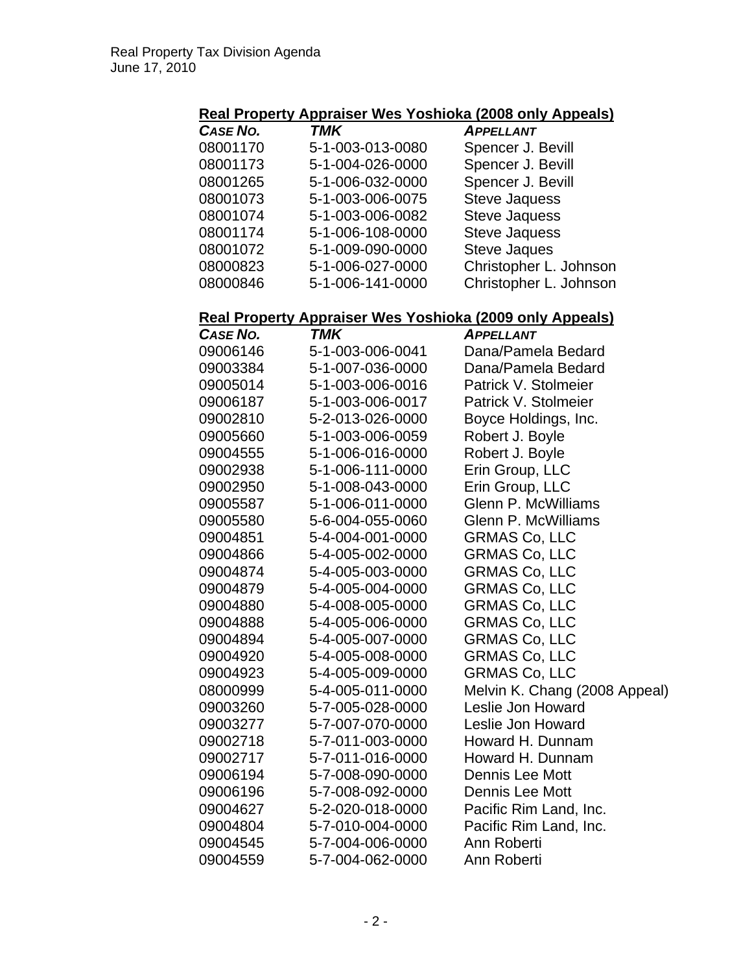# **Real Property Appraiser Wes Yoshioka (2008 only Appeals)**

| CASE NO. | TMK              | <b>APPELLANT</b>       |
|----------|------------------|------------------------|
| 08001170 | 5-1-003-013-0080 | Spencer J. Bevill      |
| 08001173 | 5-1-004-026-0000 | Spencer J. Bevill      |
| 08001265 | 5-1-006-032-0000 | Spencer J. Bevill      |
| 08001073 | 5-1-003-006-0075 | <b>Steve Jaquess</b>   |
| 08001074 | 5-1-003-006-0082 | <b>Steve Jaquess</b>   |
| 08001174 | 5-1-006-108-0000 | <b>Steve Jaquess</b>   |
| 08001072 | 5-1-009-090-0000 | <b>Steve Jaques</b>    |
| 08000823 | 5-1-006-027-0000 | Christopher L. Johnson |
| 08000846 | 5-1-006-141-0000 | Christopher L. Johnson |

### **Real Property Appraiser Wes Yoshioka (2009 only Appeals)**

| <b>CASE NO.</b> | <b>TMK</b>       | <b>APPELLANT</b>              |
|-----------------|------------------|-------------------------------|
| 09006146        | 5-1-003-006-0041 | Dana/Pamela Bedard            |
| 09003384        | 5-1-007-036-0000 | Dana/Pamela Bedard            |
| 09005014        | 5-1-003-006-0016 | Patrick V. Stolmeier          |
| 09006187        | 5-1-003-006-0017 | Patrick V. Stolmeier          |
| 09002810        | 5-2-013-026-0000 | Boyce Holdings, Inc.          |
| 09005660        | 5-1-003-006-0059 | Robert J. Boyle               |
| 09004555        | 5-1-006-016-0000 | Robert J. Boyle               |
| 09002938        | 5-1-006-111-0000 | Erin Group, LLC               |
| 09002950        | 5-1-008-043-0000 | Erin Group, LLC               |
| 09005587        | 5-1-006-011-0000 | <b>Glenn P. McWilliams</b>    |
| 09005580        | 5-6-004-055-0060 | Glenn P. McWilliams           |
| 09004851        | 5-4-004-001-0000 | <b>GRMAS Co, LLC</b>          |
| 09004866        | 5-4-005-002-0000 | <b>GRMAS Co, LLC</b>          |
| 09004874        | 5-4-005-003-0000 | <b>GRMAS Co, LLC</b>          |
| 09004879        | 5-4-005-004-0000 | <b>GRMAS Co, LLC</b>          |
| 09004880        | 5-4-008-005-0000 | <b>GRMAS Co, LLC</b>          |
| 09004888        | 5-4-005-006-0000 | <b>GRMAS Co, LLC</b>          |
| 09004894        | 5-4-005-007-0000 | <b>GRMAS Co, LLC</b>          |
| 09004920        | 5-4-005-008-0000 | <b>GRMAS Co, LLC</b>          |
| 09004923        | 5-4-005-009-0000 | <b>GRMAS Co, LLC</b>          |
| 08000999        | 5-4-005-011-0000 | Melvin K. Chang (2008 Appeal) |
| 09003260        | 5-7-005-028-0000 | Leslie Jon Howard             |
| 09003277        | 5-7-007-070-0000 | Leslie Jon Howard             |
| 09002718        | 5-7-011-003-0000 | Howard H. Dunnam              |
| 09002717        | 5-7-011-016-0000 | Howard H. Dunnam              |
| 09006194        | 5-7-008-090-0000 | <b>Dennis Lee Mott</b>        |
| 09006196        | 5-7-008-092-0000 | <b>Dennis Lee Mott</b>        |
| 09004627        | 5-2-020-018-0000 | Pacific Rim Land, Inc.        |
| 09004804        | 5-7-010-004-0000 | Pacific Rim Land, Inc.        |
| 09004545        | 5-7-004-006-0000 | Ann Roberti                   |
| 09004559        | 5-7-004-062-0000 | Ann Roberti                   |